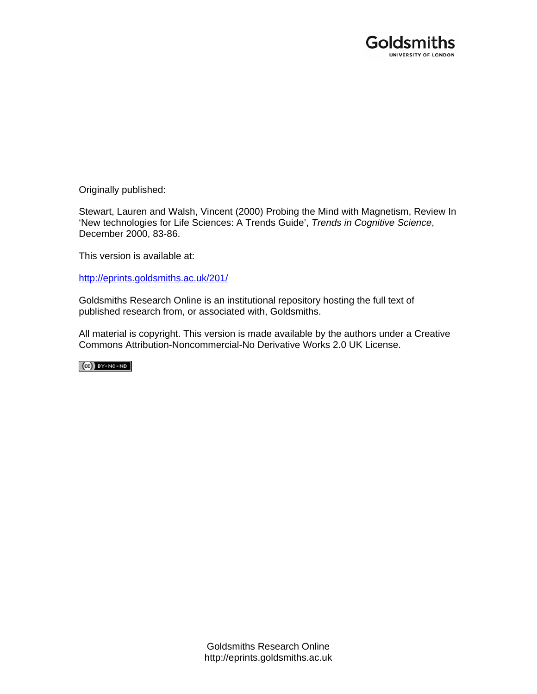

Originally published:

Stewart, Lauren and Walsh, Vincent (2000) Probing the Mind with Magnetism, Review In 'New technologies for Life Sciences: A Trends Guide', *Trends in Cognitive Science*, December 2000, 83-86.

This version is available at:

[http://eprints.goldsmiths.ac.uk/201/](http://eprints.goldsmiths.ac.uk/211/)

Goldsmiths Research Online is an institutional repository hosting the full text of published research from, or associated with, Goldsmiths.

All material is copyright. This version is made available by the authors under a Creative Commons Attribution-Noncommercial-No Derivative Works 2.0 UK License.

 $(Cc)$  BY-NC-ND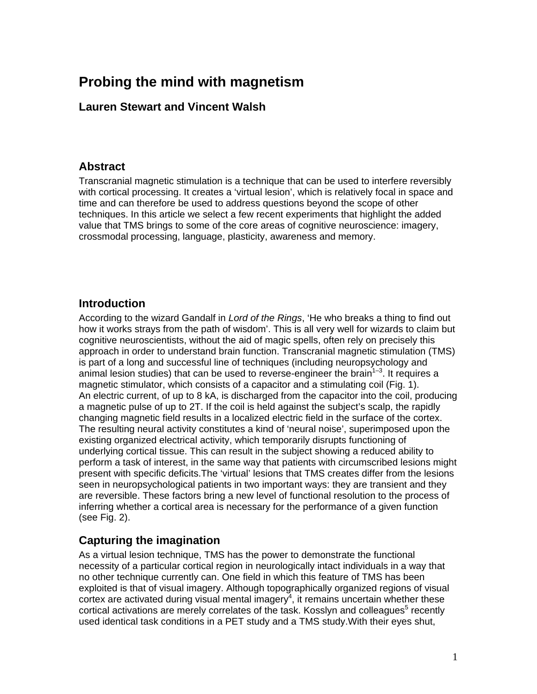# **Probing the mind with magnetism**

#### **Lauren Stewart and Vincent Walsh**

#### **Abstract**

Transcranial magnetic stimulation is a technique that can be used to interfere reversibly with cortical processing. It creates a 'virtual lesion', which is relatively focal in space and time and can therefore be used to address questions beyond the scope of other techniques. In this article we select a few recent experiments that highlight the added value that TMS brings to some of the core areas of cognitive neuroscience: imagery, crossmodal processing, language, plasticity, awareness and memory.

#### **Introduction**

According to the wizard Gandalf in *Lord of the Rings*, 'He who breaks a thing to find out how it works strays from the path of wisdom'. This is all very well for wizards to claim but cognitive neuroscientists, without the aid of magic spells, often rely on precisely this approach in order to understand brain function. Transcranial magnetic stimulation (TMS) is part of a long and successful line of techniques (including neuropsychology and animal lesion studies) that can be used to reverse-engineer the brain<sup>1-3</sup>. It requires a magnetic stimulator, which consists of a capacitor and a stimulating coil (Fig. 1). An electric current, of up to 8 kA, is discharged from the capacitor into the coil, producing a magnetic pulse of up to 2T. If the coil is held against the subject's scalp, the rapidly changing magnetic field results in a localized electric field in the surface of the cortex. The resulting neural activity constitutes a kind of 'neural noise', superimposed upon the existing organized electrical activity, which temporarily disrupts functioning of underlying cortical tissue. This can result in the subject showing a reduced ability to perform a task of interest, in the same way that patients with circumscribed lesions might present with specific deficits.The 'virtual' lesions that TMS creates differ from the lesions seen in neuropsychological patients in two important ways: they are transient and they are reversible. These factors bring a new level of functional resolution to the process of inferring whether a cortical area is necessary for the performance of a given function (see Fig. 2).

### **Capturing the imagination**

As a virtual lesion technique, TMS has the power to demonstrate the functional necessity of a particular cortical region in neurologically intact individuals in a way that no other technique currently can. One field in which this feature of TMS has been exploited is that of visual imagery. Although topographically organized regions of visual  $\cot$  are activated during visual mental imagery<sup>4</sup>, it remains uncertain whether these cortical activations are merely correlates of the task. Kosslyn and colleagues $5$  recently used identical task conditions in a PET study and a TMS study.With their eyes shut,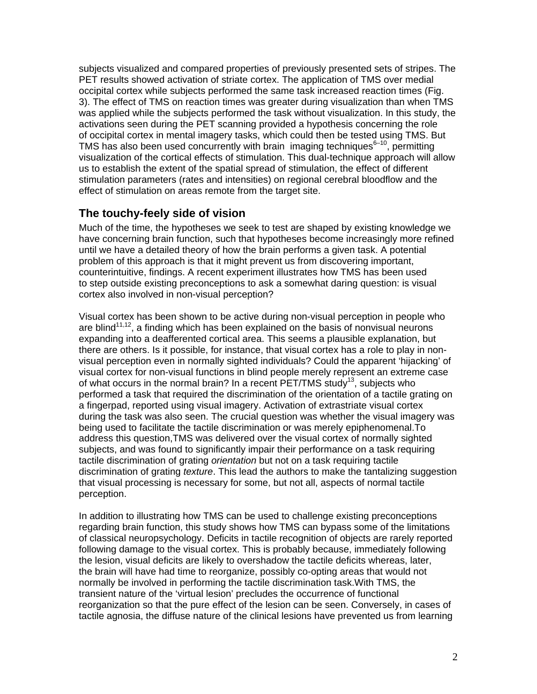subjects visualized and compared properties of previously presented sets of stripes. The PET results showed activation of striate cortex. The application of TMS over medial occipital cortex while subjects performed the same task increased reaction times (Fig. 3). The effect of TMS on reaction times was greater during visualization than when TMS was applied while the subjects performed the task without visualization. In this study, the activations seen during the PET scanning provided a hypothesis concerning the role of occipital cortex in mental imagery tasks, which could then be tested using TMS. But TMS has also been used concurrently with brain imaging techniques $6-10$ , permitting visualization of the cortical effects of stimulation. This dual-technique approach will allow us to establish the extent of the spatial spread of stimulation, the effect of different stimulation parameters (rates and intensities) on regional cerebral bloodflow and the effect of stimulation on areas remote from the target site.

### **The touchy-feely side of vision**

Much of the time, the hypotheses we seek to test are shaped by existing knowledge we have concerning brain function, such that hypotheses become increasingly more refined until we have a detailed theory of how the brain performs a given task. A potential problem of this approach is that it might prevent us from discovering important, counterintuitive, findings. A recent experiment illustrates how TMS has been used to step outside existing preconceptions to ask a somewhat daring question: is visual cortex also involved in non-visual perception?

Visual cortex has been shown to be active during non-visual perception in people who are blind<sup>11,12</sup>, a finding which has been explained on the basis of nonvisual neurons expanding into a deafferented cortical area. This seems a plausible explanation, but there are others. Is it possible, for instance, that visual cortex has a role to play in nonvisual perception even in normally sighted individuals? Could the apparent 'hijacking' of visual cortex for non-visual functions in blind people merely represent an extreme case of what occurs in the normal brain? In a recent  $PET/TMS$  study<sup>13</sup>, subjects who performed a task that required the discrimination of the orientation of a tactile grating on a fingerpad, reported using visual imagery. Activation of extrastriate visual cortex during the task was also seen. The crucial question was whether the visual imagery was being used to facilitate the tactile discrimination or was merely epiphenomenal.To address this question,TMS was delivered over the visual cortex of normally sighted subjects, and was found to significantly impair their performance on a task requiring tactile discrimination of grating *orientation* but not on a task requiring tactile discrimination of grating *texture*. This lead the authors to make the tantalizing suggestion that visual processing is necessary for some, but not all, aspects of normal tactile perception.

In addition to illustrating how TMS can be used to challenge existing preconceptions regarding brain function, this study shows how TMS can bypass some of the limitations of classical neuropsychology. Deficits in tactile recognition of objects are rarely reported following damage to the visual cortex. This is probably because, immediately following the lesion, visual deficits are likely to overshadow the tactile deficits whereas, later, the brain will have had time to reorganize, possibly co-opting areas that would not normally be involved in performing the tactile discrimination task.With TMS, the transient nature of the 'virtual lesion' precludes the occurrence of functional reorganization so that the pure effect of the lesion can be seen. Conversely, in cases of tactile agnosia, the diffuse nature of the clinical lesions have prevented us from learning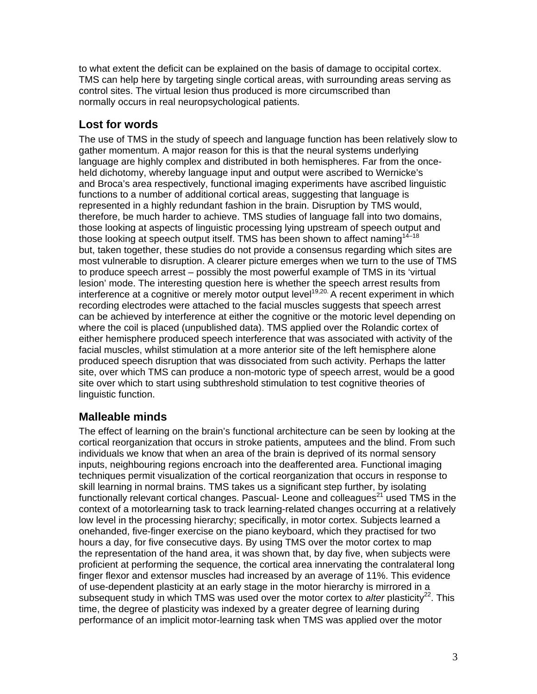to what extent the deficit can be explained on the basis of damage to occipital cortex. TMS can help here by targeting single cortical areas, with surrounding areas serving as control sites. The virtual lesion thus produced is more circumscribed than normally occurs in real neuropsychological patients.

## **Lost for words**

The use of TMS in the study of speech and language function has been relatively slow to gather momentum. A major reason for this is that the neural systems underlying language are highly complex and distributed in both hemispheres. Far from the onceheld dichotomy, whereby language input and output were ascribed to Wernicke's and Broca's area respectively, functional imaging experiments have ascribed linguistic functions to a number of additional cortical areas, suggesting that language is represented in a highly redundant fashion in the brain. Disruption by TMS would, therefore, be much harder to achieve. TMS studies of language fall into two domains, those looking at aspects of linguistic processing lying upstream of speech output and those looking at speech output itself. TMS has been shown to affect naming $14-18$ but, taken together, these studies do not provide a consensus regarding which sites are most vulnerable to disruption. A clearer picture emerges when we turn to the use of TMS to produce speech arrest – possibly the most powerful example of TMS in its 'virtual lesion' mode. The interesting question here is whether the speech arrest results from interference at a cognitive or merely motor output level<sup>19,20.</sup> A recent experiment in which recording electrodes were attached to the facial muscles suggests that speech arrest can be achieved by interference at either the cognitive or the motoric level depending on where the coil is placed (unpublished data). TMS applied over the Rolandic cortex of either hemisphere produced speech interference that was associated with activity of the facial muscles, whilst stimulation at a more anterior site of the left hemisphere alone produced speech disruption that was dissociated from such activity. Perhaps the latter site, over which TMS can produce a non-motoric type of speech arrest, would be a good site over which to start using subthreshold stimulation to test cognitive theories of linguistic function.

### **Malleable minds**

The effect of learning on the brain's functional architecture can be seen by looking at the cortical reorganization that occurs in stroke patients, amputees and the blind. From such individuals we know that when an area of the brain is deprived of its normal sensory inputs, neighbouring regions encroach into the deafferented area. Functional imaging techniques permit visualization of the cortical reorganization that occurs in response to skill learning in normal brains. TMS takes us a significant step further, by isolating functionally relevant cortical changes. Pascual- Leone and colleagues $^{21}$  used TMS in the context of a motorlearning task to track learning-related changes occurring at a relatively low level in the processing hierarchy; specifically, in motor cortex. Subjects learned a onehanded, five-finger exercise on the piano keyboard, which they practised for two hours a day, for five consecutive days. By using TMS over the motor cortex to map the representation of the hand area, it was shown that, by day five, when subjects were proficient at performing the sequence, the cortical area innervating the contralateral long finger flexor and extensor muscles had increased by an average of 11%. This evidence of use-dependent plasticity at an early stage in the motor hierarchy is mirrored in a subsequent study in which TMS was used over the motor cortex to *alter* plasticity<sup>22</sup>. This time, the degree of plasticity was indexed by a greater degree of learning during performance of an implicit motor-learning task when TMS was applied over the motor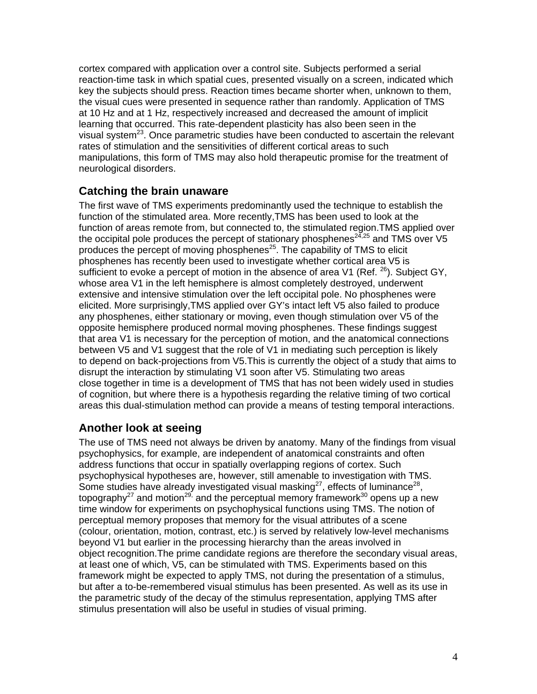cortex compared with application over a control site. Subjects performed a serial reaction-time task in which spatial cues, presented visually on a screen, indicated which key the subjects should press. Reaction times became shorter when, unknown to them, the visual cues were presented in sequence rather than randomly. Application of TMS at 10 Hz and at 1 Hz, respectively increased and decreased the amount of implicit learning that occurred. This rate-dependent plasticity has also been seen in the visual system<sup>23</sup>. Once parametric studies have been conducted to ascertain the relevant rates of stimulation and the sensitivities of different cortical areas to such manipulations, this form of TMS may also hold therapeutic promise for the treatment of neurological disorders.

#### **Catching the brain unaware**

The first wave of TMS experiments predominantly used the technique to establish the function of the stimulated area. More recently,TMS has been used to look at the function of areas remote from, but connected to, the stimulated region.TMS applied over the occipital pole produces the percept of stationary phosphenes<sup>24,25</sup> and TMS over V5 produces the percept of moving phosphenes<sup>25</sup>. The capability of TMS to elicit phosphenes has recently been used to investigate whether cortical area V5 is sufficient to evoke a percept of motion in the absence of area V1 (Ref.  $^{26}$ ). Subject GY, whose area V1 in the left hemisphere is almost completely destroyed, underwent extensive and intensive stimulation over the left occipital pole. No phosphenes were elicited. More surprisingly,TMS applied over GY's intact left V5 also failed to produce any phosphenes, either stationary or moving, even though stimulation over V5 of the opposite hemisphere produced normal moving phosphenes. These findings suggest that area V1 is necessary for the perception of motion, and the anatomical connections between V5 and V1 suggest that the role of V1 in mediating such perception is likely to depend on back-projections from V5.This is currently the object of a study that aims to disrupt the interaction by stimulating V1 soon after V5. Stimulating two areas close together in time is a development of TMS that has not been widely used in studies of cognition, but where there is a hypothesis regarding the relative timing of two cortical areas this dual-stimulation method can provide a means of testing temporal interactions.

### **Another look at seeing**

The use of TMS need not always be driven by anatomy. Many of the findings from visual psychophysics, for example, are independent of anatomical constraints and often address functions that occur in spatially overlapping regions of cortex. Such psychophysical hypotheses are, however, still amenable to investigation with TMS. Some studies have already investigated visual masking<sup>27</sup>, effects of luminance<sup>28</sup>, topography<sup>27</sup> and motion<sup>29,</sup> and the perceptual memory framework<sup>30</sup> opens up a new time window for experiments on psychophysical functions using TMS. The notion of perceptual memory proposes that memory for the visual attributes of a scene (colour, orientation, motion, contrast, etc.) is served by relatively low-level mechanisms beyond V1 but earlier in the processing hierarchy than the areas involved in object recognition.The prime candidate regions are therefore the secondary visual areas, at least one of which, V5, can be stimulated with TMS. Experiments based on this framework might be expected to apply TMS, not during the presentation of a stimulus, but after a to-be-remembered visual stimulus has been presented. As well as its use in the parametric study of the decay of the stimulus representation, applying TMS after stimulus presentation will also be useful in studies of visual priming.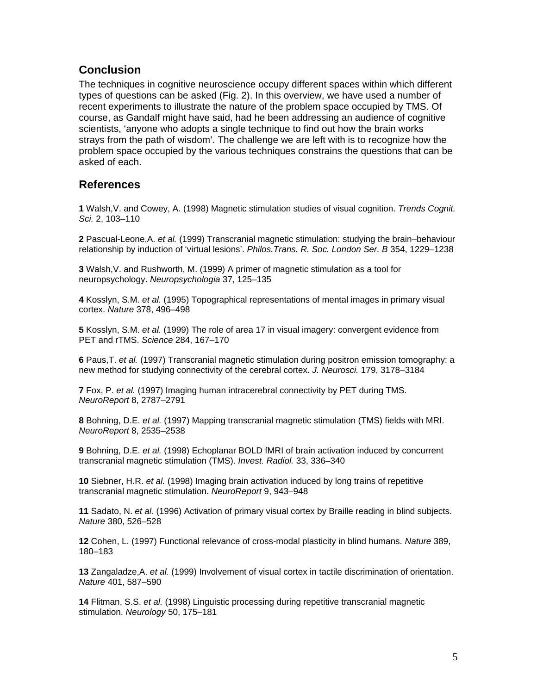#### **Conclusion**

The techniques in cognitive neuroscience occupy different spaces within which different types of questions can be asked (Fig. 2). In this overview, we have used a number of recent experiments to illustrate the nature of the problem space occupied by TMS. Of course, as Gandalf might have said, had he been addressing an audience of cognitive scientists, 'anyone who adopts a single technique to find out how the brain works strays from the path of wisdom'. The challenge we are left with is to recognize how the problem space occupied by the various techniques constrains the questions that can be asked of each.

#### **References**

**1** Walsh,V. and Cowey, A. (1998) Magnetic stimulation studies of visual cognition. *Trends Cognit. Sci.* 2, 103–110

**2** Pascual-Leone,A. *et al.* (1999) Transcranial magnetic stimulation: studying the brain–behaviour relationship by induction of 'virtual lesions'. *Philos.Trans. R. Soc. London Ser. B* 354, 1229–1238

**3** Walsh,V. and Rushworth, M. (1999) A primer of magnetic stimulation as a tool for neuropsychology. *Neuropsychologia* 37, 125–135

**4** Kosslyn, S.M. *et al.* (1995) Topographical representations of mental images in primary visual cortex. *Nature* 378, 496–498

**5** Kosslyn, S.M. *et al.* (1999) The role of area 17 in visual imagery: convergent evidence from PET and rTMS. *Science* 284, 167–170

**6** Paus,T. *et al.* (1997) Transcranial magnetic stimulation during positron emission tomography: a new method for studying connectivity of the cerebral cortex. *J. Neurosci.* 179, 3178–3184

**7** Fox, P. *et al.* (1997) Imaging human intracerebral connectivity by PET during TMS. *NeuroReport* 8, 2787–2791

**8** Bohning, D.E. *et al.* (1997) Mapping transcranial magnetic stimulation (TMS) fields with MRI. *NeuroReport* 8, 2535–2538

**9** Bohning, D.E. *et al.* (1998) Echoplanar BOLD fMRI of brain activation induced by concurrent transcranial magnetic stimulation (TMS). *Invest. Radiol.* 33, 336–340

**10** Siebner, H.R. *et al.* (1998) Imaging brain activation induced by long trains of repetitive transcranial magnetic stimulation. *NeuroReport* 9, 943–948

**11** Sadato, N. *et al.* (1996) Activation of primary visual cortex by Braille reading in blind subjects. *Nature* 380, 526–528

**12** Cohen, L. (1997) Functional relevance of cross-modal plasticity in blind humans. *Nature* 389, 180–183

**13** Zangaladze,A. *et al.* (1999) Involvement of visual cortex in tactile discrimination of orientation. *Nature* 401, 587–590

**14** Flitman, S.S. *et al.* (1998) Linguistic processing during repetitive transcranial magnetic stimulation. *Neurology* 50, 175–181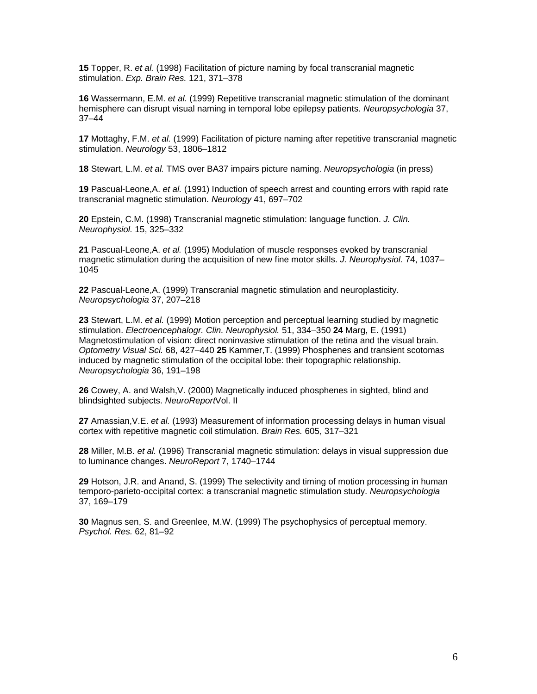**15** Topper, R. *et al.* (1998) Facilitation of picture naming by focal transcranial magnetic stimulation. *Exp. Brain Res.* 121, 371–378

**16** Wassermann, E.M. *et al.* (1999) Repetitive transcranial magnetic stimulation of the dominant hemisphere can disrupt visual naming in temporal lobe epilepsy patients. *Neuropsychologia* 37, 37–44

**17** Mottaghy, F.M. *et al.* (1999) Facilitation of picture naming after repetitive transcranial magnetic stimulation. *Neurology* 53, 1806–1812

**18** Stewart, L.M. *et al.* TMS over BA37 impairs picture naming. *Neuropsychologia* (in press)

**19** Pascual-Leone,A. *et al.* (1991) Induction of speech arrest and counting errors with rapid rate transcranial magnetic stimulation. *Neurology* 41, 697–702

**20** Epstein, C.M. (1998) Transcranial magnetic stimulation: language function. *J. Clin. Neurophysiol.* 15, 325–332

**21** Pascual-Leone,A. *et al.* (1995) Modulation of muscle responses evoked by transcranial magnetic stimulation during the acquisition of new fine motor skills. *J. Neurophysiol.* 74, 1037– 1045

**22** Pascual-Leone,A. (1999) Transcranial magnetic stimulation and neuroplasticity. *Neuropsychologia* 37, 207–218

**23** Stewart, L.M. *et al.* (1999) Motion perception and perceptual learning studied by magnetic stimulation. *Electroencephalogr. Clin. Neurophysiol.* 51, 334–350 **24** Marg, E. (1991) Magnetostimulation of vision: direct noninvasive stimulation of the retina and the visual brain. *Optometry Visual Sci.* 68, 427–440 **25** Kammer,T. (1999) Phosphenes and transient scotomas induced by magnetic stimulation of the occipital lobe: their topographic relationship. *Neuropsychologia* 36, 191–198

**26** Cowey, A. and Walsh,V. (2000) Magnetically induced phosphenes in sighted, blind and blindsighted subjects. *NeuroReport*Vol. II

**27** Amassian,V.E. *et al.* (1993) Measurement of information processing delays in human visual cortex with repetitive magnetic coil stimulation. *Brain Res.* 605, 317–321

**28** Miller, M.B. *et al.* (1996) Transcranial magnetic stimulation: delays in visual suppression due to luminance changes. *NeuroReport* 7, 1740–1744

**29** Hotson, J.R. and Anand, S. (1999) The selectivity and timing of motion processing in human temporo-parieto-occipital cortex: a transcranial magnetic stimulation study. *Neuropsychologia*  37, 169–179

**30** Magnus sen, S. and Greenlee, M.W. (1999) The psychophysics of perceptual memory. *Psychol. Res.* 62, 81–92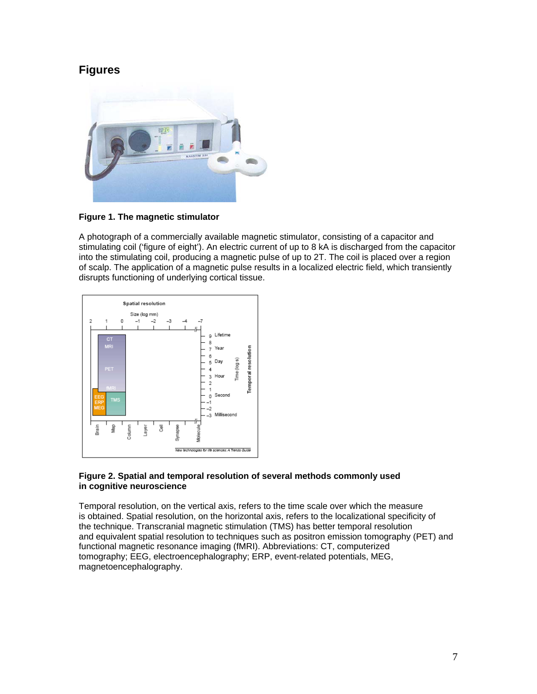#### **Figures**



#### **Figure 1. The magnetic stimulator**

A photograph of a commercially available magnetic stimulator, consisting of a capacitor and stimulating coil ('figure of eight'). An electric current of up to 8 kA is discharged from the capacitor into the stimulating coil, producing a magnetic pulse of up to 2T. The coil is placed over a region of scalp. The application of a magnetic pulse results in a localized electric field, which transiently disrupts functioning of underlying cortical tissue.



#### **Figure 2. Spatial and temporal resolution of several methods commonly used in cognitive neuroscience**

Temporal resolution, on the vertical axis, refers to the time scale over which the measure is obtained. Spatial resolution, on the horizontal axis, refers to the localizational specificity of the technique. Transcranial magnetic stimulation (TMS) has better temporal resolution and equivalent spatial resolution to techniques such as positron emission tomography (PET) and functional magnetic resonance imaging (fMRI). Abbreviations: CT, computerized tomography; EEG, electroencephalography; ERP, event-related potentials, MEG, magnetoencephalography.